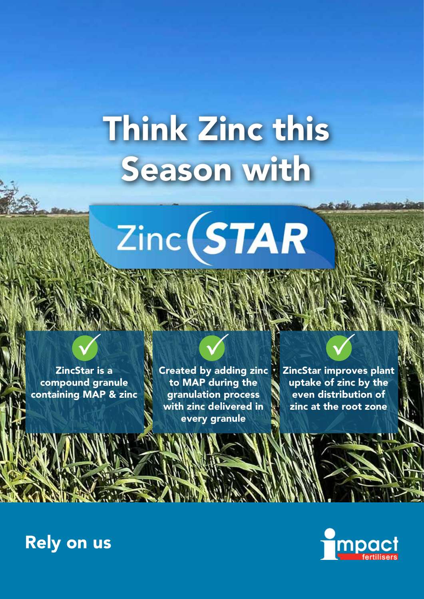# Think Zinc this Season with

 $Zinc(STAR)$ 

ZincStar is a compound granule containing MAP & zinc

Created by adding zinc to MAP during the granulation process with zinc delivered in every granule 

ZincStar improves plant uptake of zinc by the even distribution of zinc at the root zone

## **Impa**

## Rely on us